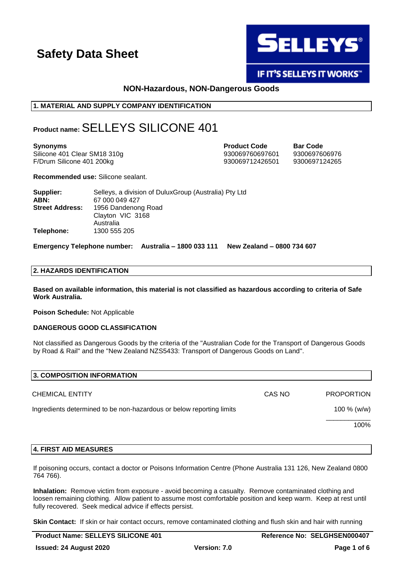

# **IF IT'S SELLEYS IT WORKS"**

# **NON-Hazardous, NON-Dangerous Goods**

# **1. MATERIAL AND SUPPLY COMPANY IDENTIFICATION**

# **Product name:**SELLEYS SILICONE 401

**Synonyms Product Code Bar Code** Silicone 401 Clear SM18 310g 930069760697601 9300697606976 F/Drum Silicone 401 200kg 930069712426501 9300697124265

**Recommended use:** Silicone sealant.

| Supplier:              | Selleys, a division of DuluxGroup (Australia) Pty Ltd |
|------------------------|-------------------------------------------------------|
| ABN:                   | 67 000 049 427                                        |
| <b>Street Address:</b> | 1956 Dandenong Road                                   |
|                        | Clayton VIC 3168                                      |
|                        | Australia                                             |
| Telephone:             | 1300 555 205                                          |

**Emergency Telephone number: Australia – 1800 033 111 New Zealand – 0800 734 607**

# **2. HAZARDS IDENTIFICATION**

**Based on available information, this material is not classified as hazardous according to criteria of Safe Work Australia.**

**Poison Schedule:** Not Applicable

### **DANGEROUS GOOD CLASSIFICATION**

Not classified as Dangerous Goods by the criteria of the "Australian Code for the Transport of Dangerous Goods by Road & Rail" and the "New Zealand NZS5433: Transport of Dangerous Goods on Land".

| 3. COMPOSITION INFORMATION                                           |        |                   |
|----------------------------------------------------------------------|--------|-------------------|
| <b>CHEMICAL ENTITY</b>                                               | CAS NO | <b>PROPORTION</b> |
| Ingredients determined to be non-hazardous or below reporting limits |        | 100 $% (w/w)$     |
|                                                                      |        | 100%              |

### **4. FIRST AID MEASURES**

If poisoning occurs, contact a doctor or Poisons Information Centre (Phone Australia 131 126, New Zealand 0800 764 766).

**Inhalation:** Remove victim from exposure - avoid becoming a casualty. Remove contaminated clothing and loosen remaining clothing. Allow patient to assume most comfortable position and keep warm. Keep at rest until fully recovered. Seek medical advice if effects persist.

**Skin Contact:** If skin or hair contact occurs, remove contaminated clothing and flush skin and hair with running

| <b>Product Name: SELLEYS SILICONE 401</b> |                     | Reference No: SELGHSEN000407 |
|-------------------------------------------|---------------------|------------------------------|
| <b>Issued: 24 August 2020</b>             | <b>Version: 7.0</b> | Page 1 of 6                  |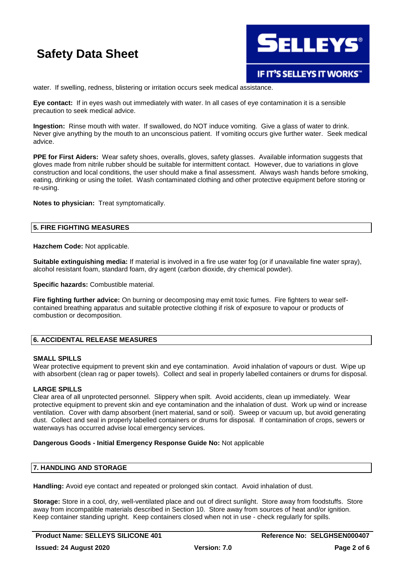

water. If swelling, redness, blistering or irritation occurs seek medical assistance.

**Eye contact:** If in eyes wash out immediately with water. In all cases of eye contamination it is a sensible precaution to seek medical advice.

**Ingestion:** Rinse mouth with water. If swallowed, do NOT induce vomiting. Give a glass of water to drink. Never give anything by the mouth to an unconscious patient. If vomiting occurs give further water. Seek medical advice.

**PPE for First Aiders:** Wear safety shoes, overalls, gloves, safety glasses. Available information suggests that gloves made from nitrile rubber should be suitable for intermittent contact. However, due to variations in glove construction and local conditions, the user should make a final assessment. Always wash hands before smoking, eating, drinking or using the toilet. Wash contaminated clothing and other protective equipment before storing or re-using.

**Notes to physician:** Treat symptomatically.

### **5. FIRE FIGHTING MEASURES**

**Hazchem Code:** Not applicable.

**Suitable extinguishing media:** If material is involved in a fire use water fog (or if unavailable fine water spray), alcohol resistant foam, standard foam, dry agent (carbon dioxide, dry chemical powder).

**Specific hazards:** Combustible material.

**Fire fighting further advice:** On burning or decomposing may emit toxic fumes. Fire fighters to wear selfcontained breathing apparatus and suitable protective clothing if risk of exposure to vapour or products of combustion or decomposition.

### **6. ACCIDENTAL RELEASE MEASURES**

### **SMALL SPILLS**

Wear protective equipment to prevent skin and eve contamination. Avoid inhalation of vapours or dust. Wipe up with absorbent (clean rag or paper towels). Collect and seal in properly labelled containers or drums for disposal.

### **LARGE SPILLS**

Clear area of all unprotected personnel. Slippery when spilt. Avoid accidents, clean up immediately. Wear protective equipment to prevent skin and eye contamination and the inhalation of dust. Work up wind or increase ventilation. Cover with damp absorbent (inert material, sand or soil). Sweep or vacuum up, but avoid generating dust. Collect and seal in properly labelled containers or drums for disposal. If contamination of crops, sewers or waterways has occurred advise local emergency services.

### **Dangerous Goods - Initial Emergency Response Guide No:** Not applicable

# **7. HANDLING AND STORAGE**

**Handling:** Avoid eye contact and repeated or prolonged skin contact. Avoid inhalation of dust.

**Storage:** Store in a cool, dry, well-ventilated place and out of direct sunlight. Store away from foodstuffs. Store away from incompatible materials described in Section 10. Store away from sources of heat and/or ignition. Keep container standing upright. Keep containers closed when not in use - check regularly for spills.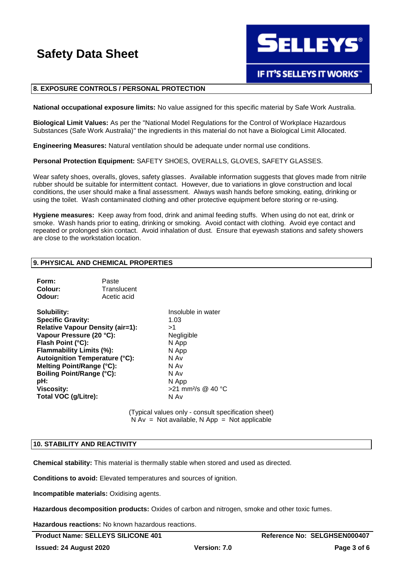**SELLEYS®** 

# **IF IT'S SELLEYS IT WORKS"**

### **8. EXPOSURE CONTROLS / PERSONAL PROTECTION**

**National occupational exposure limits:** No value assigned for this specific material by Safe Work Australia.

**Biological Limit Values:** As per the "National Model Regulations for the Control of Workplace Hazardous Substances (Safe Work Australia)" the ingredients in this material do not have a Biological Limit Allocated.

**Engineering Measures:** Natural ventilation should be adequate under normal use conditions.

**Personal Protection Equipment:** SAFETY SHOES, OVERALLS, GLOVES, SAFETY GLASSES.

Wear safety shoes, overalls, gloves, safety glasses. Available information suggests that gloves made from nitrile rubber should be suitable for intermittent contact. However, due to variations in glove construction and local conditions, the user should make a final assessment. Always wash hands before smoking, eating, drinking or using the toilet. Wash contaminated clothing and other protective equipment before storing or re-using.

**Hygiene measures:** Keep away from food, drink and animal feeding stuffs. When using do not eat, drink or smoke. Wash hands prior to eating, drinking or smoking. Avoid contact with clothing. Avoid eye contact and repeated or prolonged skin contact. Avoid inhalation of dust. Ensure that eyewash stations and safety showers are close to the workstation location.

### **9. PHYSICAL AND CHEMICAL PROPERTIES**

| Form:   | Paste       |
|---------|-------------|
| Colour: | Translucent |
| Odour:  | Acetic acid |

**Solubility:** Insoluble in water **Specific Gravity:** 1.03 **Relative Vapour Density (air=1):** >1 Vapour Pressure (20 °C): Negligible **Flash Point (°C):** N App **Flammability Limits (%):** N App **Autoignition Temperature (°C):** N Av **Melting Point/Range (°C):** N Av **Boiling Point/Range (°C):** N Av **pH:** N App **Viscosity:** >21 mm²/s @ 40 °C **Total VOC (g/Litre):** N Av

(Typical values only - consult specification sheet)  $N Av = Not available, N App = Not applicable$ 

### **10. STABILITY AND REACTIVITY**

**Chemical stability:** This material is thermally stable when stored and used as directed.

**Conditions to avoid:** Elevated temperatures and sources of ignition.

**Incompatible materials:** Oxidising agents.

**Hazardous decomposition products:** Oxides of carbon and nitrogen, smoke and other toxic fumes.

**Hazardous reactions:** No known hazardous reactions.

**Product Name: SELLEYS SILICONE 401 Reference No: SELGHSEN000407**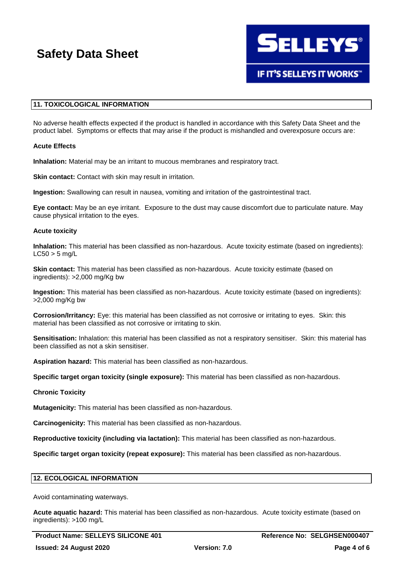

# **11. TOXICOLOGICAL INFORMATION**

No adverse health effects expected if the product is handled in accordance with this Safety Data Sheet and the product label. Symptoms or effects that may arise if the product is mishandled and overexposure occurs are:

### **Acute Effects**

**Inhalation:** Material may be an irritant to mucous membranes and respiratory tract.

**Skin contact:** Contact with skin may result in irritation.

**Ingestion:** Swallowing can result in nausea, vomiting and irritation of the gastrointestinal tract.

**Eye contact:** May be an eye irritant. Exposure to the dust may cause discomfort due to particulate nature. May cause physical irritation to the eyes.

### **Acute toxicity**

**Inhalation:** This material has been classified as non-hazardous. Acute toxicity estimate (based on ingredients):  $LC50 > 5$  mg/L

**Skin contact:** This material has been classified as non-hazardous. Acute toxicity estimate (based on ingredients): >2,000 mg/Kg bw

**Ingestion:** This material has been classified as non-hazardous. Acute toxicity estimate (based on ingredients): >2,000 mg/Kg bw

**Corrosion/Irritancy:** Eye: this material has been classified as not corrosive or irritating to eyes. Skin: this material has been classified as not corrosive or irritating to skin.

**Sensitisation:** Inhalation: this material has been classified as not a respiratory sensitiser. Skin: this material has been classified as not a skin sensitiser.

**Aspiration hazard:** This material has been classified as non-hazardous.

**Specific target organ toxicity (single exposure):** This material has been classified as non-hazardous.

### **Chronic Toxicity**

**Mutagenicity:** This material has been classified as non-hazardous.

**Carcinogenicity:** This material has been classified as non-hazardous.

**Reproductive toxicity (including via lactation):** This material has been classified as non-hazardous.

**Specific target organ toxicity (repeat exposure):** This material has been classified as non-hazardous.

### **12. ECOLOGICAL INFORMATION**

Avoid contaminating waterways.

**Acute aquatic hazard:** This material has been classified as non-hazardous. Acute toxicity estimate (based on ingredients): >100 mg/L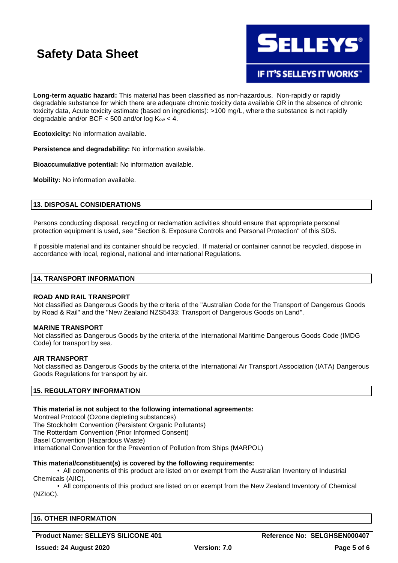

**IF IT'S SELLEYS IT WORKS"** 

**Long-term aquatic hazard:** This material has been classified as non-hazardous. Non-rapidly or rapidly degradable substance for which there are adequate chronic toxicity data available OR in the absence of chronic toxicity data, Acute toxicity estimate (based on ingredients): >100 mg/L, where the substance is not rapidly degradable and/or BCF  $<$  500 and/or log  $K_{ow}$  < 4.

**Ecotoxicity:** No information available.

**Persistence and degradability:** No information available.

**Bioaccumulative potential:** No information available.

**Mobility:** No information available.

# **13. DISPOSAL CONSIDERATIONS**

Persons conducting disposal, recycling or reclamation activities should ensure that appropriate personal protection equipment is used, see "Section 8. Exposure Controls and Personal Protection" of this SDS.

If possible material and its container should be recycled. If material or container cannot be recycled, dispose in accordance with local, regional, national and international Regulations.

### **14. TRANSPORT INFORMATION**

### **ROAD AND RAIL TRANSPORT**

Not classified as Dangerous Goods by the criteria of the "Australian Code for the Transport of Dangerous Goods by Road & Rail" and the "New Zealand NZS5433: Transport of Dangerous Goods on Land".

### **MARINE TRANSPORT**

Not classified as Dangerous Goods by the criteria of the International Maritime Dangerous Goods Code (IMDG Code) for transport by sea.

### **AIR TRANSPORT**

Not classified as Dangerous Goods by the criteria of the International Air Transport Association (IATA) Dangerous Goods Regulations for transport by air.

# **15. REGULATORY INFORMATION**

### **This material is not subject to the following international agreements:**

Montreal Protocol (Ozone depleting substances) The Stockholm Convention (Persistent Organic Pollutants) The Rotterdam Convention (Prior Informed Consent) Basel Convention (Hazardous Waste) International Convention for the Prevention of Pollution from Ships (MARPOL)

# **This material/constituent(s) is covered by the following requirements:**

• All components of this product are listed on or exempt from the Australian Inventory of Industrial Chemicals (AIIC).

• All components of this product are listed on or exempt from the New Zealand Inventory of Chemical (NZIoC).

# **16. OTHER INFORMATION**

# **Product Name: SELLEYS SILICONE 401 Reference No: SELGHSEN000407**